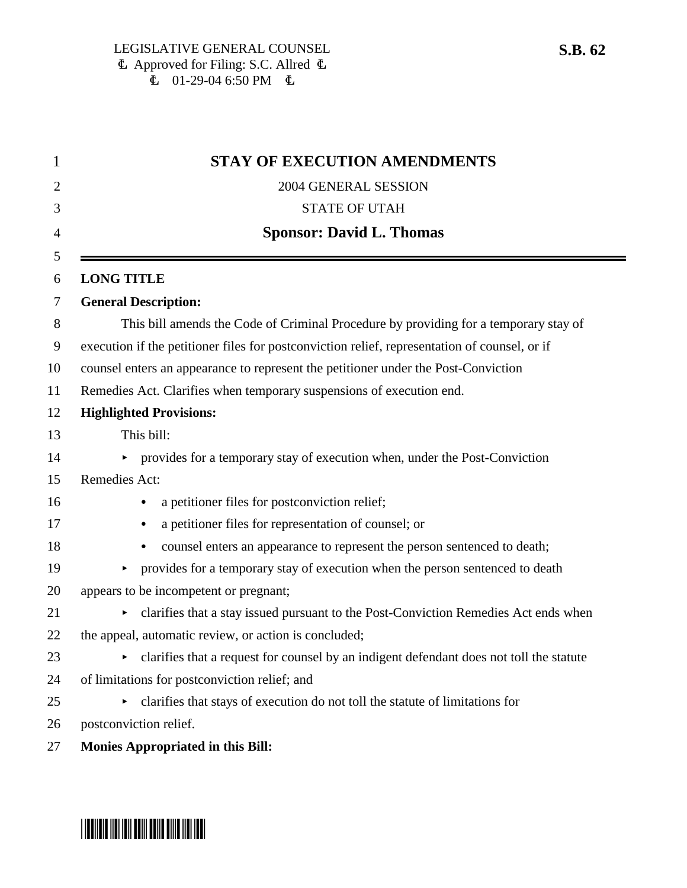| 1              | <b>STAY OF EXECUTION AMENDMENTS</b>                                                           |
|----------------|-----------------------------------------------------------------------------------------------|
| 2              | 2004 GENERAL SESSION                                                                          |
| 3              | <b>STATE OF UTAH</b>                                                                          |
| $\overline{4}$ | <b>Sponsor: David L. Thomas</b>                                                               |
| 5              |                                                                                               |
| 6              | <b>LONG TITLE</b>                                                                             |
| 7              | <b>General Description:</b>                                                                   |
| 8              | This bill amends the Code of Criminal Procedure by providing for a temporary stay of          |
| 9              | execution if the petitioner files for postconviction relief, representation of counsel, or if |
| 10             | counsel enters an appearance to represent the petitioner under the Post-Conviction            |
| 11             | Remedies Act. Clarifies when temporary suspensions of execution end.                          |
| 12             | <b>Highlighted Provisions:</b>                                                                |
| 13             | This bill:                                                                                    |
| 14             | • provides for a temporary stay of execution when, under the Post-Conviction                  |
| 15             | Remedies Act:                                                                                 |
| 16             | a petitioner files for postconviction relief;                                                 |
| 17             | a petitioner files for representation of counsel; or                                          |
| 18             | counsel enters an appearance to represent the person sentenced to death;                      |
| 19             | provides for a temporary stay of execution when the person sentenced to death<br>▶            |
| 20             | appears to be incompetent or pregnant;                                                        |
| 21             | clarifies that a stay issued pursuant to the Post-Conviction Remedies Act ends when<br>▶      |
| 22             | the appeal, automatic review, or action is concluded;                                         |
| 23             | clarifies that a request for counsel by an indigent defendant does not toll the statute<br>▶  |
| 24             | of limitations for postconviction relief; and                                                 |
| 25             | clarifies that stays of execution do not toll the statute of limitations for<br>▶             |
| 26             | postconviction relief.                                                                        |
| 27             | <b>Monies Appropriated in this Bill:</b>                                                      |

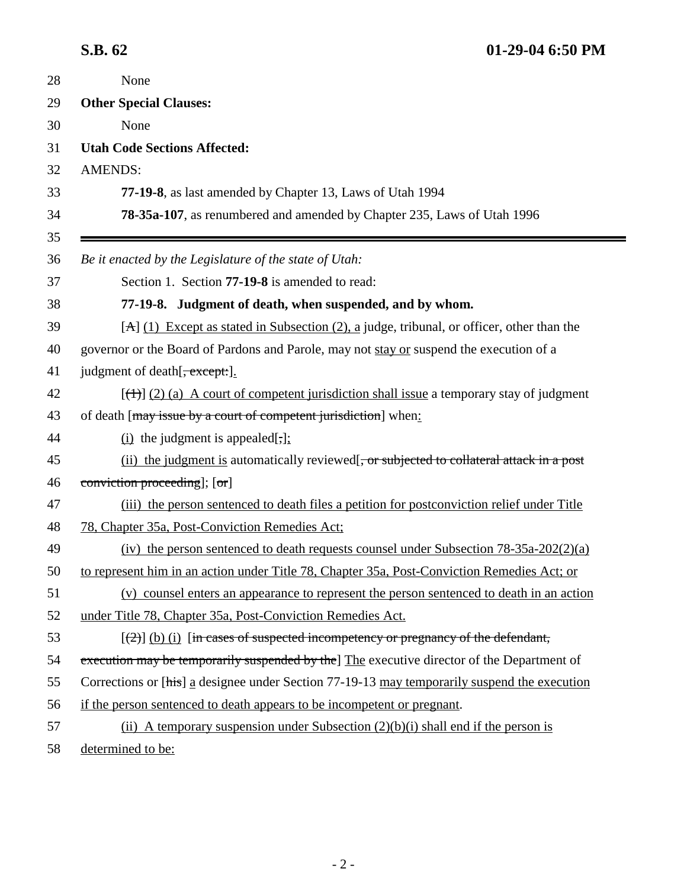| 28       | None                                                                                                 |
|----------|------------------------------------------------------------------------------------------------------|
| 29       | <b>Other Special Clauses:</b>                                                                        |
| 30       | None                                                                                                 |
| 31       | <b>Utah Code Sections Affected:</b>                                                                  |
| 32       | <b>AMENDS:</b>                                                                                       |
| 33       | 77-19-8, as last amended by Chapter 13, Laws of Utah 1994                                            |
| 34       | 78-35a-107, as renumbered and amended by Chapter 235, Laws of Utah 1996                              |
| 35<br>36 | Be it enacted by the Legislature of the state of Utah:                                               |
| 37       | Section 1. Section <b>77-19-8</b> is amended to read:                                                |
| 38       | 77-19-8. Judgment of death, when suspended, and by whom.                                             |
|          | $[A] (1)$ Except as stated in Subsection (2), a judge, tribunal, or officer, other than the          |
|          | governor or the Board of Pardons and Parole, may not stay or suspend the execution of a              |
|          | judgment of death [ <del>, except:</del> ].                                                          |
|          | $[\frac{(+)}{2}]$ (2) (a) A court of competent jurisdiction shall issue a temporary stay of judgment |
|          | of death [may issue by a court of competent jurisdiction] when:                                      |
|          | (i) the judgment is appealed $[\cdot]$ ;                                                             |
|          | (ii) the judgment is automatically reviewed. or subjected to collateral attack in a post             |
|          | conviction proceeding]; [or]                                                                         |
|          | (iii) the person sentenced to death files a petition for postconviction relief under Title           |
|          | 78, Chapter 35a, Post-Conviction Remedies Act;                                                       |
|          | (iv) the person sentenced to death requests counsel under Subsection $78-35a-202(2)(a)$              |
|          | to represent him in an action under Title 78, Chapter 35a, Post-Conviction Remedies Act; or          |
|          | (v) counsel enters an appearance to represent the person sentenced to death in an action             |
|          | under Title 78, Chapter 35a, Post-Conviction Remedies Act.                                           |
|          | $[\frac{2}{2}]$ (b) (i) [in cases of suspected incompetency or pregnancy of the defendant,           |
|          | execution may be temporarily suspended by the The executive director of the Department of            |
|          | Corrections or [his] a designee under Section 77-19-13 may temporarily suspend the execution         |
|          | if the person sentenced to death appears to be incompetent or pregnant.                              |
|          | (ii) A temporary suspension under Subsection $(2)(b)(i)$ shall end if the person is                  |
|          | determined to be:                                                                                    |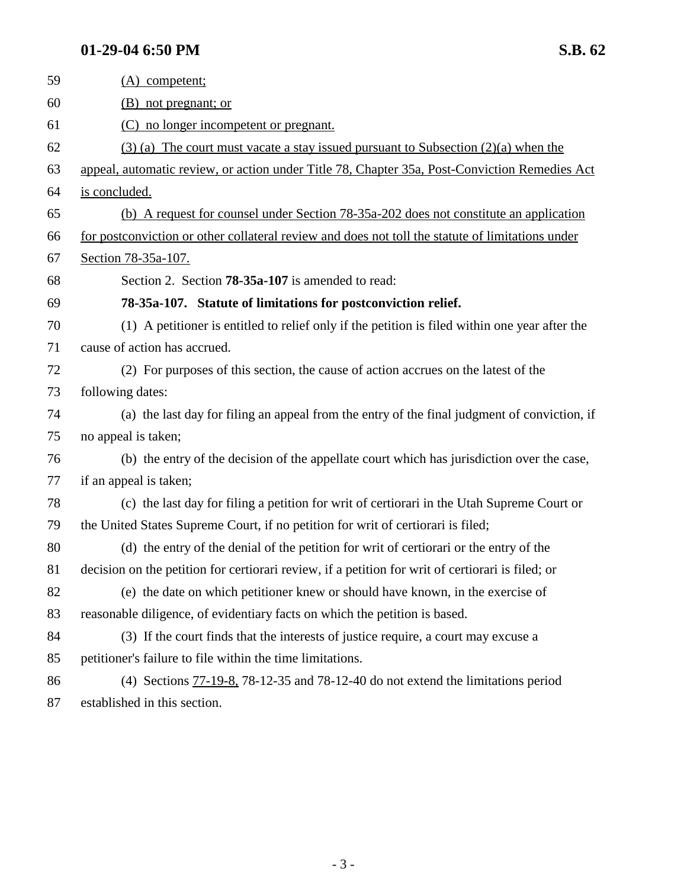## **01-29-04 6:50 PM** S.B. 62

| 59 | (A) competent;                                                                                    |
|----|---------------------------------------------------------------------------------------------------|
| 60 | (B) not pregnant; or                                                                              |
| 61 | (C) no longer incompetent or pregnant.                                                            |
| 62 | $(3)$ (a) The court must vacate a stay issued pursuant to Subsection $(2)(a)$ when the            |
| 63 | appeal, automatic review, or action under Title 78, Chapter 35a, Post-Conviction Remedies Act     |
| 64 | is concluded.                                                                                     |
| 65 | (b) A request for counsel under Section 78-35a-202 does not constitute an application             |
| 66 | for postconviction or other collateral review and does not toll the statute of limitations under  |
| 67 | Section 78-35a-107.                                                                               |
| 68 | Section 2. Section <b>78-35a-107</b> is amended to read:                                          |
| 69 | 78-35a-107. Statute of limitations for postconviction relief.                                     |
| 70 | (1) A petitioner is entitled to relief only if the petition is filed within one year after the    |
| 71 | cause of action has accrued.                                                                      |
| 72 | (2) For purposes of this section, the cause of action accrues on the latest of the                |
| 73 | following dates:                                                                                  |
| 74 | (a) the last day for filing an appeal from the entry of the final judgment of conviction, if      |
| 75 | no appeal is taken;                                                                               |
| 76 | (b) the entry of the decision of the appellate court which has jurisdiction over the case,        |
| 77 | if an appeal is taken;                                                                            |
| 78 | (c) the last day for filing a petition for writ of certiorari in the Utah Supreme Court or        |
| 79 | the United States Supreme Court, if no petition for writ of certiorari is filed;                  |
| 80 | (d) the entry of the denial of the petition for writ of certiorari or the entry of the            |
| 81 | decision on the petition for certiorari review, if a petition for writ of certiorari is filed; or |
| 82 | (e) the date on which petitioner knew or should have known, in the exercise of                    |
| 83 | reasonable diligence, of evidentiary facts on which the petition is based.                        |
| 84 | (3) If the court finds that the interests of justice require, a court may excuse a                |
| 85 | petitioner's failure to file within the time limitations.                                         |
| 86 | (4) Sections $77-19-8$ , $78-12-35$ and $78-12-40$ do not extend the limitations period           |
|    |                                                                                                   |

87 established in this section.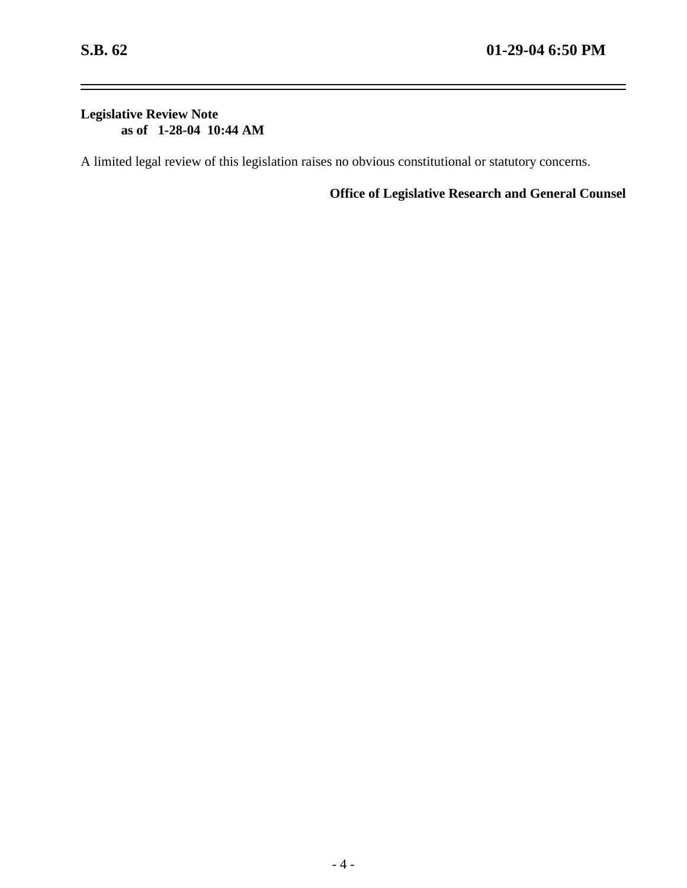-

## **Legislative Review Note as of 1-28-04 10:44 AM**

A limited legal review of this legislation raises no obvious constitutional or statutory concerns.

**Office of Legislative Research and General Counsel**